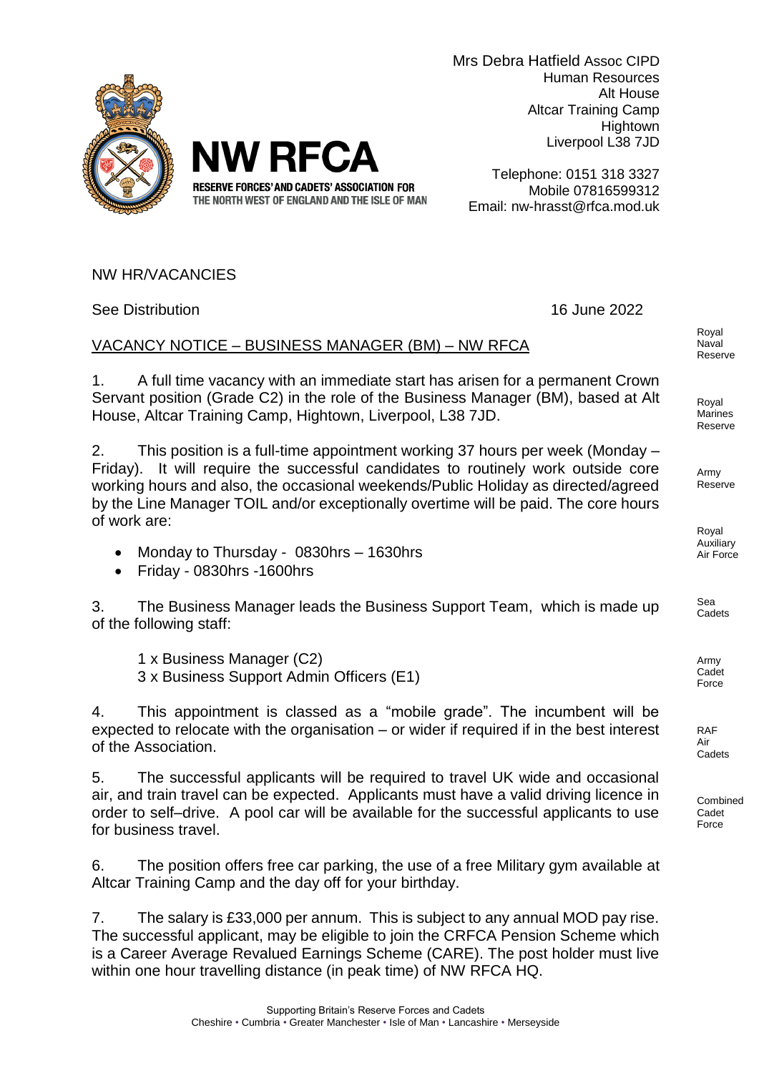

Telephone: 0151 318 3327 Mobile 07816599312 Email: nw-hrasst@rfca.mod.uk

NW HR/VACANCIES

See Distribution 16 June 2022

VACANCY NOTICE – BUSINESS MANAGER (BM) – NW RFCA

**NW RFCA** 

RESERVE FORCES' AND CADETS' ASSOCIATION FOR THE NORTH WEST OF ENGLAND AND THE ISLE OF MAN

1. A full time vacancy with an immediate start has arisen for a permanent Crown Servant position (Grade C2) in the role of the Business Manager (BM), based at Alt House, Altcar Training Camp, Hightown, Liverpool, L38 7JD.

2. This position is a full-time appointment working 37 hours per week (Monday – Friday). It will require the successful candidates to routinely work outside core working hours and also, the occasional weekends/Public Holiday as directed/agreed by the Line Manager TOIL and/or exceptionally overtime will be paid. The core hours of work are:

- Monday to Thursday 0830hrs 1630hrs
- Friday 0830hrs -1600hrs

3. The Business Manager leads the Business Support Team, which is made up of the following staff:

1 x Business Manager (C2) 3 x Business Support Admin Officers (E1)

4. This appointment is classed as a "mobile grade". The incumbent will be expected to relocate with the organisation – or wider if required if in the best interest of the Association.

5. The successful applicants will be required to travel UK wide and occasional air, and train travel can be expected. Applicants must have a valid driving licence in order to self–drive. A pool car will be available for the successful applicants to use for business travel.

6. The position offers free car parking, the use of a free Military gym available at Altcar Training Camp and the day off for your birthday.

7. The salary is £33,000 per annum. This is subject to any annual MOD pay rise. The successful applicant, may be eligible to join the CRFCA Pension Scheme which is a Career Average Revalued Earnings Scheme (CARE). The post holder must live within one hour travelling distance (in peak time) of NW RFCA HQ.



Royal Marines Reserve

Army Reserve

Royal Auxiliary Air Force

Sea **Cadets** 

Army Cadet Force

RAF Air **Cadets** 

Combined Cadet Force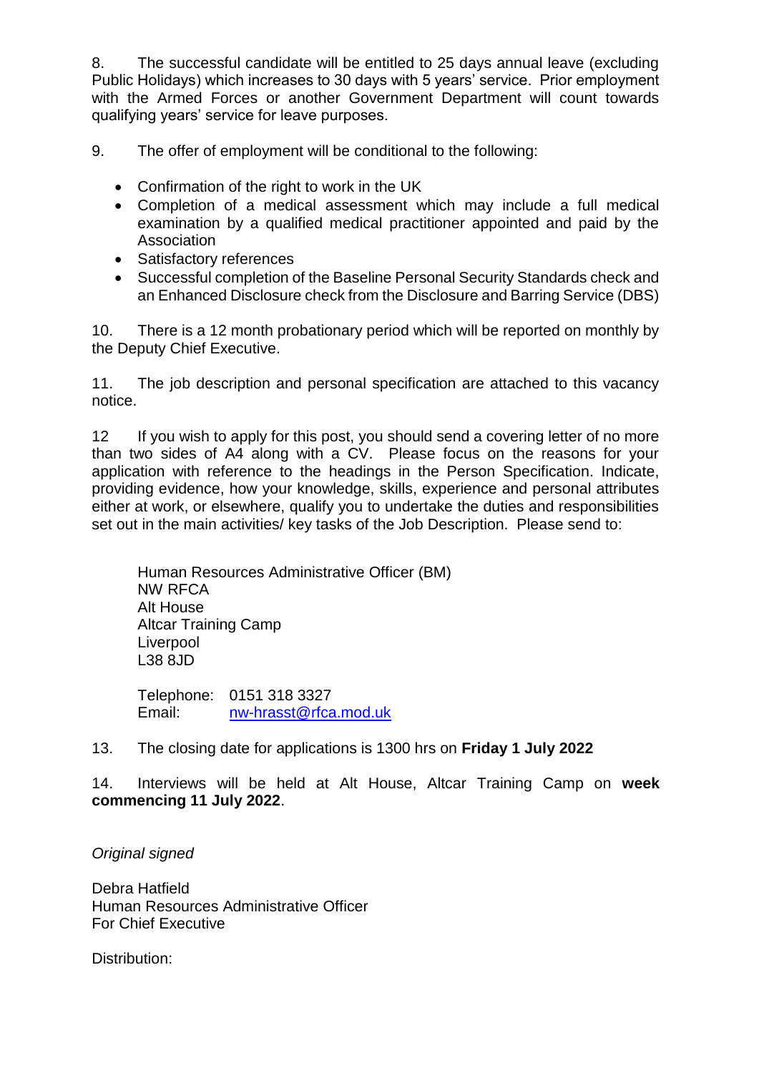8. The successful candidate will be entitled to 25 days annual leave (excluding Public Holidays) which increases to 30 days with 5 years' service. Prior employment with the Armed Forces or another Government Department will count towards qualifying years' service for leave purposes.

9. The offer of employment will be conditional to the following:

- Confirmation of the right to work in the UK
- Completion of a medical assessment which may include a full medical examination by a qualified medical practitioner appointed and paid by the Association
- Satisfactory references
- Successful completion of the Baseline Personal Security Standards check and an Enhanced Disclosure check from the Disclosure and Barring Service (DBS)

10. There is a 12 month probationary period which will be reported on monthly by the Deputy Chief Executive.

11. The job description and personal specification are attached to this vacancy notice.

12 If you wish to apply for this post, you should send a covering letter of no more than two sides of A4 along with a CV. Please focus on the reasons for your application with reference to the headings in the Person Specification. Indicate, providing evidence, how your knowledge, skills, experience and personal attributes either at work, or elsewhere, qualify you to undertake the duties and responsibilities set out in the main activities/ key tasks of the Job Description. Please send to:

Human Resources Administrative Officer (BM) NW RFCA Alt House Altcar Training Camp Liverpool L38 8JD

Telephone: 0151 318 3327 Email: [nw-hrasst@rfca.mod.uk](mailto:nw-hrasst@rfca.mod.uk)

## 13. The closing date for applications is 1300 hrs on **Friday 1 July 2022**

14. Interviews will be held at Alt House, Altcar Training Camp on **week commencing 11 July 2022**.

*Original signed*

Debra Hatfield Human Resources Administrative Officer For Chief Executive

Distribution: